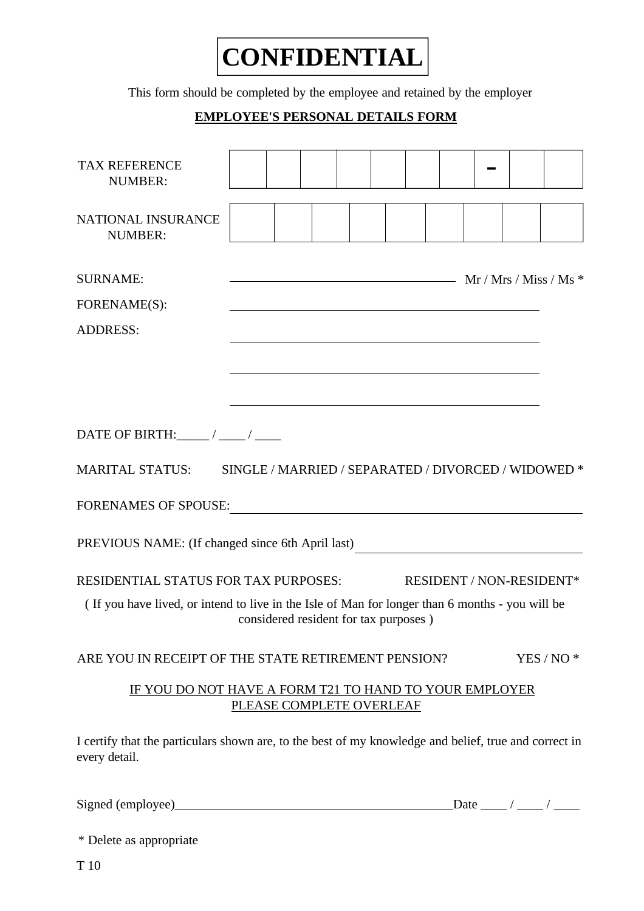## **CONFIDENTIAL**

This form should be completed by the employee and retained by the employer

## **EMPLOYEE'S PERSONAL DETAILS FORM**

| <b>TAX REFERENCE</b><br><b>NUMBER:</b>                                                                                 |                                       |                                                                                                                                                                                                                               |  |  |                          |  |           |
|------------------------------------------------------------------------------------------------------------------------|---------------------------------------|-------------------------------------------------------------------------------------------------------------------------------------------------------------------------------------------------------------------------------|--|--|--------------------------|--|-----------|
| <b>NATIONAL INSURANCE</b><br><b>NUMBER:</b>                                                                            |                                       |                                                                                                                                                                                                                               |  |  |                          |  |           |
| <b>SURNAME:</b>                                                                                                        |                                       | $Mr/Mrs/Miss/Ms*$                                                                                                                                                                                                             |  |  |                          |  |           |
| FORENAME(S):                                                                                                           |                                       |                                                                                                                                                                                                                               |  |  |                          |  |           |
| <b>ADDRESS:</b>                                                                                                        |                                       | the control of the control of the control of the control of the control of the control of the control of the control of the control of the control of the control of the control of the control of the control of the control |  |  |                          |  |           |
|                                                                                                                        |                                       |                                                                                                                                                                                                                               |  |  |                          |  |           |
|                                                                                                                        |                                       |                                                                                                                                                                                                                               |  |  |                          |  |           |
|                                                                                                                        |                                       |                                                                                                                                                                                                                               |  |  |                          |  |           |
|                                                                                                                        |                                       |                                                                                                                                                                                                                               |  |  |                          |  |           |
| MARITAL STATUS: SINGLE / MARRIED / SEPARATED / DIVORCED / WIDOWED *                                                    |                                       |                                                                                                                                                                                                                               |  |  |                          |  |           |
|                                                                                                                        |                                       |                                                                                                                                                                                                                               |  |  |                          |  |           |
| PREVIOUS NAME: (If changed since 6th April last)<br><u>Land Conservation</u>                                           |                                       |                                                                                                                                                                                                                               |  |  |                          |  |           |
| <b>RESIDENTIAL STATUS FOR TAX PURPOSES:</b>                                                                            |                                       |                                                                                                                                                                                                                               |  |  | RESIDENT / NON-RESIDENT* |  |           |
| (If you have lived, or intend to live in the Isle of Man for longer than 6 months - you will be                        | considered resident for tax purposes) |                                                                                                                                                                                                                               |  |  |                          |  |           |
| ARE YOU IN RECEIPT OF THE STATE RETIREMENT PENSION?                                                                    |                                       |                                                                                                                                                                                                                               |  |  |                          |  | $YES/NO*$ |
| IF YOU DO NOT HAVE A FORM T21 TO HAND TO YOUR EMPLOYER                                                                 | PLEASE COMPLETE OVERLEAF              |                                                                                                                                                                                                                               |  |  |                          |  |           |
| I certify that the particulars shown are, to the best of my knowledge and belief, true and correct in<br>every detail. |                                       |                                                                                                                                                                                                                               |  |  |                          |  |           |
|                                                                                                                        |                                       |                                                                                                                                                                                                                               |  |  |                          |  |           |

|  |  |  | * Delete as appropriate |
|--|--|--|-------------------------|
|--|--|--|-------------------------|